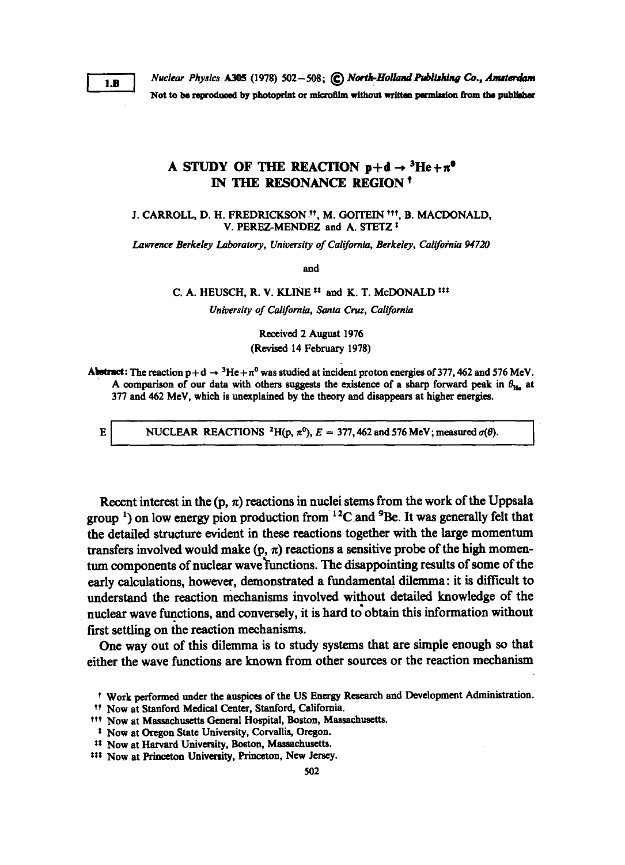E

Nuclear Physics A305 (1978) 502 - 508;  $\mathbb{C}$  North-Holland Publishing Co., Amsterdam Not to be reproduced by photoprint or microfilm without written permission from the publisher

## A STUDY OF THE REACTION  $p+d \rightarrow {}^{3}He + \pi^{0}$ IN THE RESONANCE REGION <sup>t</sup>

J. CARROLL, D. H. FREDRICKSON <sup>11</sup>, M. GOITEIN <sup>111</sup>, B. MACDONALD, V. PEREZ-MENDEZ and A. STETZ<sup>1</sup>

Lawrence Berkeley Laboratory, University of California, Berkeley, California 94720

and

C. A. HEUSCH, R. V. KLINE<sup>11</sup> and K. T. McDONALD<sup>111</sup>

University of California, Santa Cruz, California

Received 2 August 1976 (Revised 14 February 1978)

Abstract: The reaction  $p+d \rightarrow {}^{3}He+\pi^{0}$  was studied at incident proton energies of 377, 462 and 576 MeV. A comparison of our data with others suggests the existence of a sharp forward peak in  $\theta_{\text{H}_2}$  at 377 and 462 MeV, which is unexplained by the theory and disappears at higher energies .

NUCLEAR REACTIONS <sup>2</sup>H(p,  $\pi^0$ ),  $E = 377,462$  and 576 MeV; measured  $\sigma(\theta)$ .

Recent interest in the  $(p, \pi)$  reactions in nuclei stems from the work of the Uppsala group<sup>1</sup>) on low energy pion production from  $12C$  and  $9Be$ . It was generally felt that the detailed structure evident in these reactions together with the large momentum transfers involved would make  $(p, \pi)$  reactions a sensitive probe of the high momentum components of nuclear wave functions. The disappointing results of some of the early calculations, however, demonstrated a fundamental dilemma : it is difficult to understand the reaction mechanisms involved without detailed knowledge of the nuclear wave functions, and conversely, it is hard to obtain this information without first settling on the reaction mechanisms.

One way out of this dilemma is to study systems that are simple enough so that either the wave functions are known from other sources or the reaction mechanism

<sup>t</sup> Work performed under the auspices of the US Energy Research and Development Administration .

<sup>&</sup>lt;sup>11</sup> Now at Stanford Medical Center, Stanford, California.

ttt Nowat Massachusetts General Hospital, Boston, Massachusetts.

<sup>&</sup>lt;sup>t</sup> Now at Oregon State University, Corvallis, Oregon.

tt Nowat Harvard University, Boston, Massachusetts.

<sup>&</sup>lt;sup>111</sup> Now at Princeton University, Princeton, New Jersey.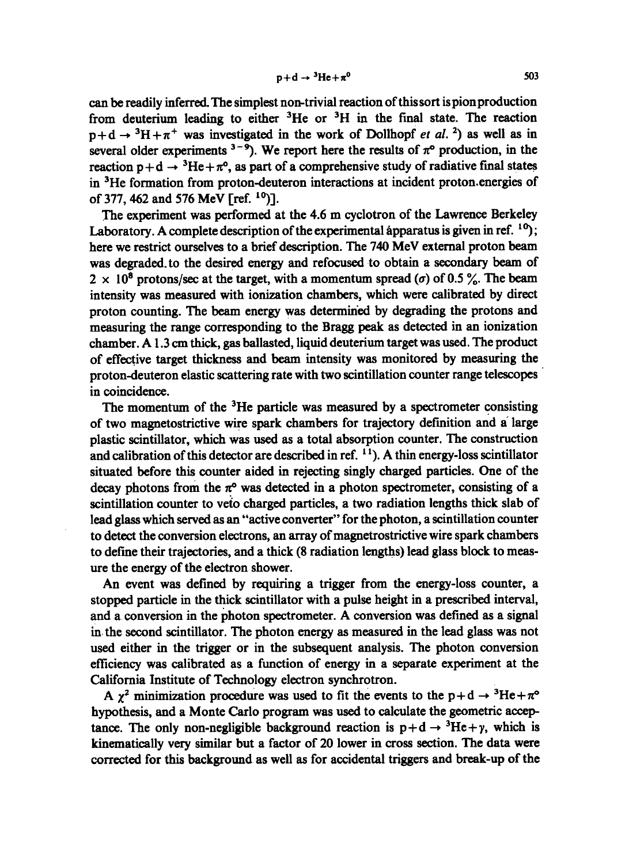can be readily inferred. The simplest non-trivial reaction of this sort is pion production from deuterium leading to either  ${}^{3}$ He or  ${}^{3}$ H in the final state. The reaction  $p+d \rightarrow {}^{3}H+\pi^{+}$  was investigated in the work of Dollhopf *et al.* <sup>2</sup>) as well as in several older experiments  $3-9$ . We report here the results of  $\pi^{\circ}$  production, in the reaction  $p+d \rightarrow {}^{3}He+\pi^{o}$ , as part of a comprehensive study of radiative final states in 3He formation from proton-deuteron interactions at incident proton .energies of of 377, 462 and 576 MeV  $\lceil$  ref.  $\binom{10}{1}$ .

The experiment was performed at the 4.6 m cyclotron of the Lawrence Berkeley Laboratory. A complete description of the experimental apparatus is given in ref.  $^{10}$ ; here we restrict ourselves to a brief description. The <sup>740</sup> MeV external proton beam was degraded to the desired energy and refocused to obtain a secondary beam of  $2 \times 10^8$  protons/sec at the target, with a momentum spread ( $\sigma$ ) of 0.5 %. The beam intensity was measured with ionization chambers, which were calibrated by direct proton counting. The beam energy was detenmiried by degrading the protons and measuring the range corresponding to the Bragg peak as detected in an ionization chamber. A <sup>1</sup> .3 cm thick, gas ballasted, liquid deuterium target was used . The product of effective target thickness and beam intensity was monitored by measuring the proton-deuteron elastic scattering rate with two scintillation counter range telescopes in coincidence.

The momentum of the <sup>3</sup>He particle was measured by a spectrometer consisting of two magnetostrictive wire spark chambers for trajectory definition and â large plastic scintillator, which was used as a total absorption counter. The construction and calibration of this detector are described in ref. <sup>11</sup>). A thin energy-loss scintillator situated before this counter aided in rejecting singly charged particles. One of the decay photons from the  $\pi^{\circ}$  was detected in a photon spectrometer, consisting of a scintillation counter to veto charged particles, a two radiation lengths thick slab of lead glass which served as an "active converter" for the photon, a scintillation counter to detect the conversion electrons, an array of magnetrostrictive wire spark chambers to define their trajectories, and a thick (8 radiation lengths) lead glass block to measure the energy of the electron shower .

An event was defined by requiring a trigger from the energy-loss counter, a stopped particle in the thick scintillator with a pulse height in a prescribed interval, and a. conversion in the photon spectrometer. A conversion was defined as a signal in the second scintillator. The photon energy as measured in the lead glass was not used either in the trigger or in the subsequent analysis. The photon conversion efficiency was calibrated as a function of energy in a separate experiment at the California Institute of Technology electron synchrotron.

A  $\chi^2$  minimization procedure was used to fit the events to the p+d  $\rightarrow$  <sup>3</sup>He+ $\pi^{\circ}$ hypothesis, and a Monte Carlo program was used to calculate the geometric aceeptance. The only non-negligible background reaction is  $p+d \rightarrow {}^{3}He + \gamma$ , which is kinematically very similar but a factor of 20 lower in cross section. The data were corrected for this background as well as for accidental triggers and break-up of the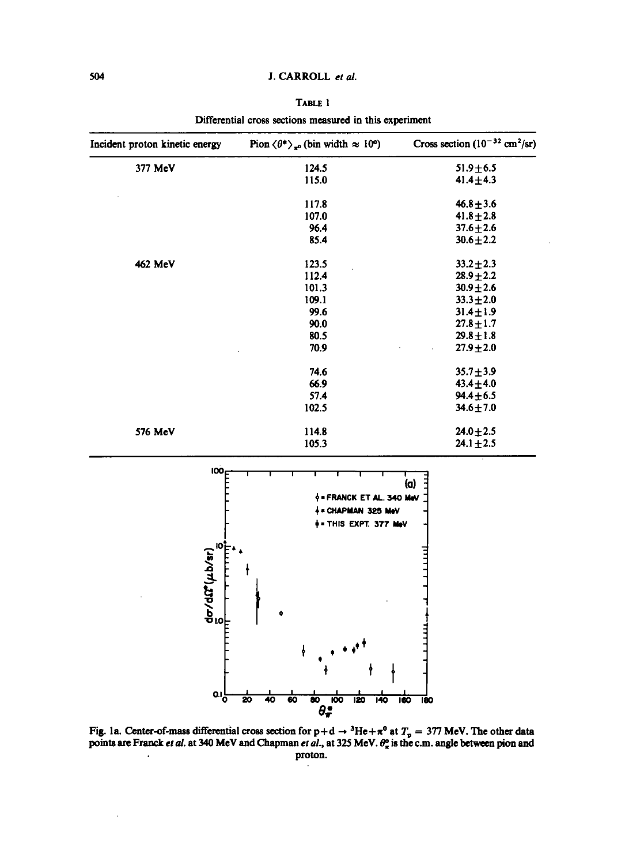## <sup>504</sup> J. CARROLL et al.

|--|--|

| Incident proton kinetic energy | Pion $\langle \theta^* \rangle_{\pi^0}$ (bin width $\approx 10^{\circ}$ ) | Cross section $(10^{-32} \text{ cm}^2/\text{sr})$ |
|--------------------------------|---------------------------------------------------------------------------|---------------------------------------------------|
| 377 MeV                        | 124.5                                                                     | $51.9 \pm 6.5$                                    |
|                                | 115.0                                                                     | $41.4 + 4.3$                                      |
|                                | 117.8                                                                     | $46.8 \pm 3.6$                                    |
|                                | 107.0                                                                     | $41.8 + 2.8$                                      |
|                                | 96.4                                                                      | $37.6 \pm 2.6$                                    |
|                                | 85.4                                                                      | $30.6 \pm 2.2$                                    |
| 462 MeV                        | 123.5                                                                     | $33.2 \pm 2.3$                                    |
|                                | 112.4                                                                     | $28.9 + 2.2$                                      |
|                                | 101.3                                                                     | $30.9 \pm 2.6$                                    |
|                                | 109.1                                                                     | $33.3 \pm 2.0$                                    |
|                                | 99.6                                                                      | $31.4 \pm 1.9$                                    |
|                                | 90.0                                                                      | $27.8 + 1.7$                                      |
|                                | 80.5                                                                      | $29.8 \pm 1.8$                                    |
|                                | 70.9                                                                      | $27.9 + 2.0$                                      |
|                                | 74.6                                                                      | $35.7 \pm 3.9$                                    |
|                                | 66.9                                                                      | $43.4 + 4.0$                                      |
|                                | 57.4                                                                      | $94.4 \pm 6.5$                                    |
|                                | 102.5                                                                     | $34.6 \pm 7.0$                                    |
| 576 MeV                        | 114.8                                                                     | $24.0 \pm 2.5$                                    |
|                                | 105.3                                                                     | $24.1 \pm 2.5$                                    |

Differential cross sections measured in this experiment



Fig. 1a. Center-of-mass differential cross section for  $p+d \rightarrow {}^{3}He+\pi^{0}$  at  $T_{p} = 377$  MeV. The other data points are Franck *et al.* at 340 MeV and Chapman *et al.*, at 325 MeV.  $\theta_{\pi}^o$  is the c.m. angle between pion and . **proton.**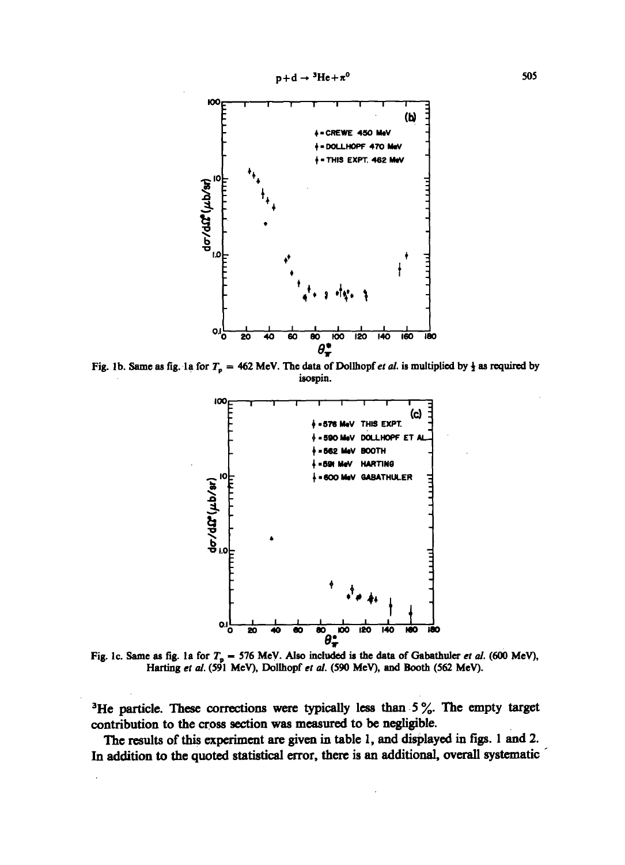

Fig. 1b. Same as fig. 1a for  $T_p = 462$  MeV. The data of Dollhopf et al. is multiplied by  $\frac{1}{2}$  as required by isospin.



Fig. 1c. Same as fig. 1a for  $T_p = 576$  MeV. Also included is the data of Gabathuler et al. (600 MeV), Harting et al. (591 MeV), Dollhopf et al. (590 MeV), and Booth (562 MeV).

<sup>3</sup>He particle. These corrections were typically less than  $5\%$ . The empty target contribution to the cross section was measured to be negligible.

The results of this experiment are given in table 1, and displayed in figs . <sup>1</sup> and 2. In addition to the quoted statistical error, there is an additional, overall systematic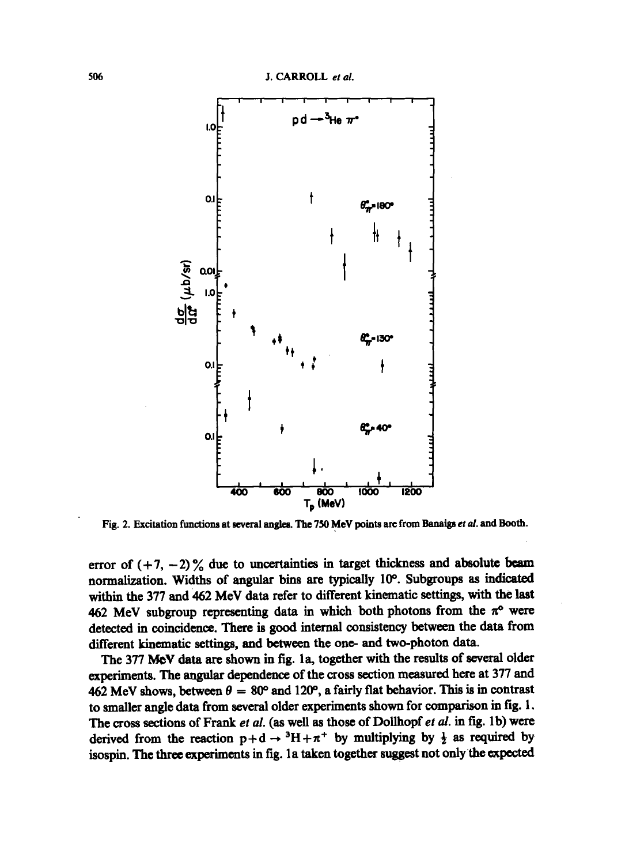

Fig. 2. Excitation functions at several angles. The 750 MeV points are from Banaigs et al. and Booth.

error of  $(+7, -2)$ % due to uncertainties in target thickness and absolute beam normalization. Widths of angular bins are typically 10°. Subgroups as indicated within the 377 and 462 MeV data refer to different kinematic settings, with the last 462 MeV subgroup representing data in which both photons from the  $\pi^{\circ}$  were detected in coincidence. There is good internal consistency between the data from different kinematic settings, and between the ono- and two-photon data.

The 377 MeV data are shown in fig. 1a, together with the results of several older experiments. The angular dependence of the cross section measured here at 377 and 462 MeV shows, between  $\theta = 80^{\circ}$  and 120°, a fairly flat behavior. This is in contrast to smaller angle data from several older experiments shown for comparison in fig. <sup>1</sup> . The cross sections of Frank et al. (as well as those of Dollhopf et al. in fig. 1b) were derived from the reaction  $p+d \rightarrow {}^{3}H+\pi {}^{+}$  by multiplying by  $\frac{1}{2}$  as required by isospin. The three experiments in fig. la taken together suggest not only the expected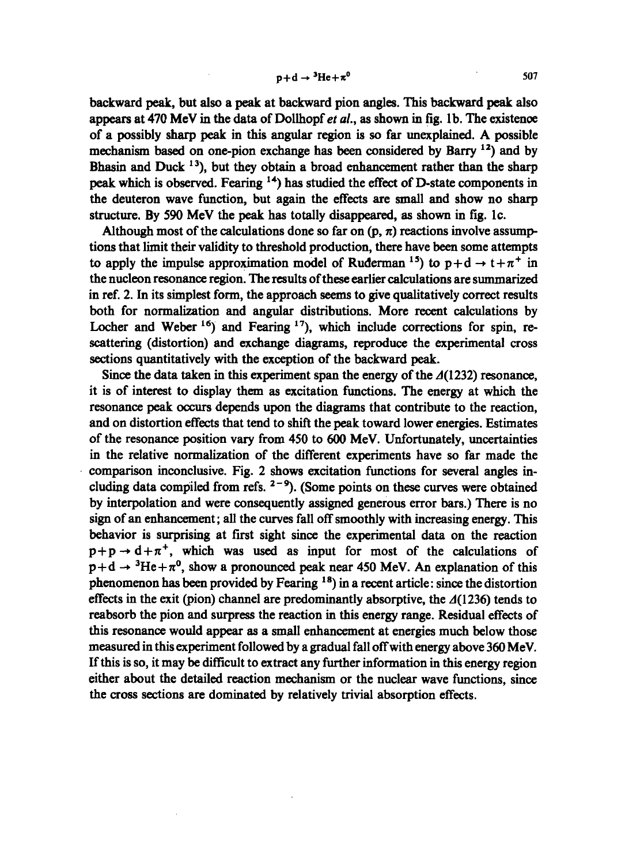backward peak, but also a peak at backward pion angles . This backward peak also appears at 470 MeV in the data of Dollhopf *et al.*, as shown in fig. 1b. The existence of a possibly sharp peak in this angular region is so far unexplained. A possible mechanism based on one-pion exchange has been considered by Barry <sup>12</sup>) and by Bhasin and Duck  $13$ ), but they obtain a broad enhancement rather than the sharp peak which is observed. Fearing  $<sup>14</sup>$ ) has studied the effect of D-state components in</sup> the deuteron wave function, but again the effects are small and show no sharp structure. By <sup>590</sup> MeV the peak has totally disappeared, as shown in fig. lc.

Although most of the calculations done so far on  $(p, \pi)$  reactions involve assumptions that limit their validity to threshold production, there have been some attempts to apply the impulse approximation model of Ruderman <sup>15</sup>) to  $p+d \rightarrow t+\pi^{+}$  in the nucleon resonance region. The results of these earlier calculations are summarized in ref. 2. In its simplest form, the approach seems to give qualitatively correct results both for normalization and angular distributions. More recent calculations by Locher and Weber  $16$ ) and Fearing  $17$ ), which include corrections for spin, rescattering (distortion) and exchange diagrams, reproduce the experimental cross sections quantitatively with the exception of the backward peak.

Since the data taken in this experiment span the energy of the  $\Lambda(1232)$  resonance, it is of interest to display them as excitation functions. The energy at which the resonance peak occurs depends upon the diagrams that contribute to the reaction, and on distortion effects that tend to shift the peak toward lower energies. Estimates of the resonance position vary from 450 to 600 MeV. Unfortunately, uncertainties in the relative normalization of the different experiments have so far made the comparison inconclusive . Fig. 2 shows excitation functions for several angles including data compiled from refs.  $2-9$ ). (Some points on these curves were obtained by interpolation and were consequently assigned generous error bars .) There is no sign of an enhancement; all the curves fall off smoothly with increasing energy. This behavior is surprising at first sight since the experimental data on the reaction  $p+p \rightarrow d+\pi^{+}$ , which was used as input for most of the calculations of  $p+d \rightarrow {}^{3}He+\pi^{0}$ , show a pronounced peak near 450 MeV. An explanation of this phenomenon has been provided by Fearing  $18$ ) in a recent article: since the distortion effects in the exit (pion) channel are predominantly absorptive, the  $\Delta(1236)$  tends to reabsorb the pion and surpress the reaction in this energy range. Residual effects of this resonance would appear as a small enhancement at energies much below those measured in this experiment followed by a gradual fall off with energy above 360 MeV. If this is so, it may be difficult to extract any further information in this energy region either about the detailed reaction mechanism or the nuclear wave functions, since the cross sections are dominated by relatively trivial absorption effects.